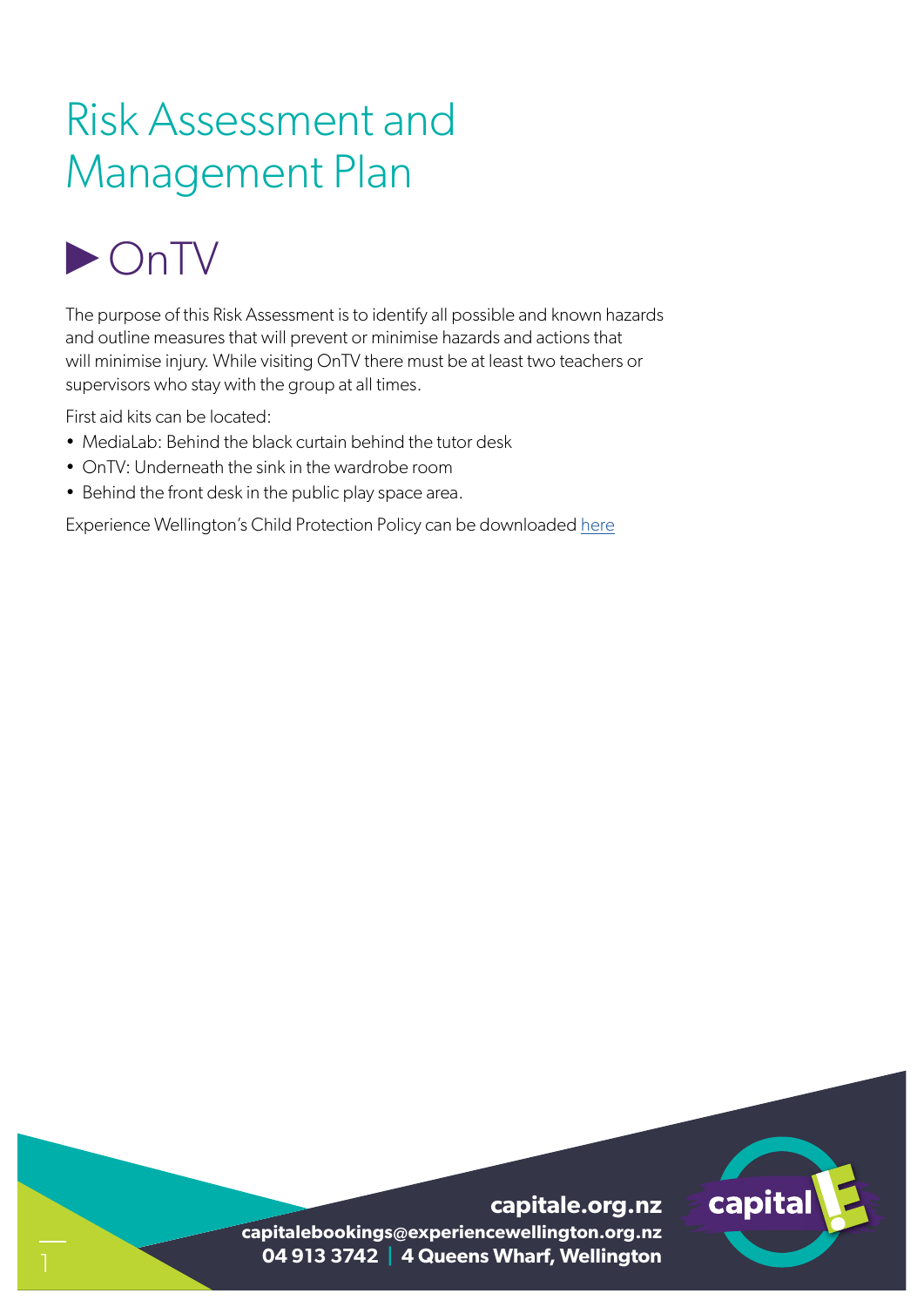### Risk Assessment and Management Plan

## **DONTV**

The purpose of this Risk Assessment is to identify all possible and known hazards and outline measures that will prevent or minimise hazards and actions that will minimise injury. While visiting OnTV there must be at least two teachers or supervisors who stay with the group at all times.

First aid kits can be located:

- MediaLab: Behind the black curtain behind the tutor desk
- OnTV: Underneath the sink in the wardrobe room
- Behind the front desk in the public play space area.

Experience Wellington's Child Protection Policy can be downloaded here

# capital

**capitale.org.nz capitalebookings@experiencewellington.org.nz 04 913 3742 | 4 Queens Wharf, Wellington**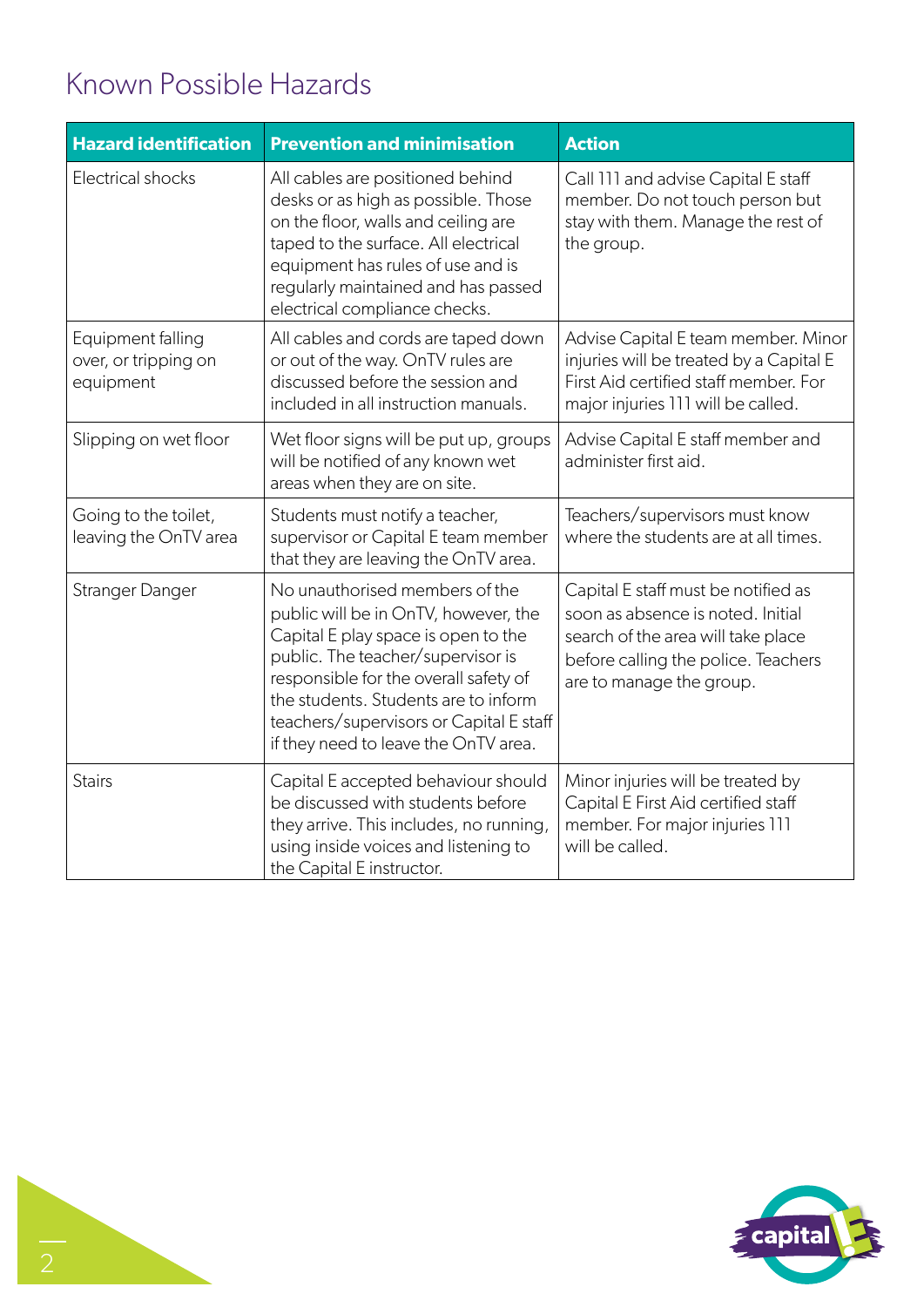#### Known Possible Hazards

| <b>Hazard identification</b>                           | <b>Prevention and minimisation</b>                                                                                                                                                                                                                                                                                     | <b>Action</b>                                                                                                                                                                     |
|--------------------------------------------------------|------------------------------------------------------------------------------------------------------------------------------------------------------------------------------------------------------------------------------------------------------------------------------------------------------------------------|-----------------------------------------------------------------------------------------------------------------------------------------------------------------------------------|
| <b>Electrical shocks</b>                               | All cables are positioned behind<br>desks or as high as possible. Those<br>on the floor, walls and ceiling are<br>taped to the surface. All electrical<br>equipment has rules of use and is<br>regularly maintained and has passed<br>electrical compliance checks.                                                    | Call 111 and advise Capital E staff<br>member. Do not touch person but<br>stay with them. Manage the rest of<br>the group.                                                        |
| Equipment falling<br>over, or tripping on<br>equipment | All cables and cords are taped down<br>or out of the way. OnTV rules are<br>discussed before the session and<br>included in all instruction manuals.                                                                                                                                                                   | Advise Capital E team member. Minor<br>injuries will be treated by a Capital E<br>First Aid certified staff member. For<br>major injuries 111 will be called.                     |
| Slipping on wet floor                                  | Wet floor signs will be put up, groups<br>will be notified of any known wet<br>areas when they are on site.                                                                                                                                                                                                            | Advise Capital E staff member and<br>administer first aid.                                                                                                                        |
| Going to the toilet,<br>leaving the OnTV area          | Students must notify a teacher,<br>supervisor or Capital E team member<br>that they are leaving the OnTV area.                                                                                                                                                                                                         | Teachers/supervisors must know<br>where the students are at all times.                                                                                                            |
| Stranger Danger                                        | No unauthorised members of the<br>public will be in OnTV, however, the<br>Capital E play space is open to the<br>public. The teacher/supervisor is<br>responsible for the overall safety of<br>the students. Students are to inform<br>teachers/supervisors or Capital E staff<br>if they need to leave the OnTV area. | Capital E staff must be notified as<br>soon as absence is noted. Initial<br>search of the area will take place<br>before calling the police. Teachers<br>are to manage the group. |
| <b>Stairs</b>                                          | Capital E accepted behaviour should<br>be discussed with students before<br>they arrive. This includes, no running,<br>using inside voices and listening to<br>the Capital E instructor.                                                                                                                               | Minor injuries will be treated by<br>Capital E First Aid certified staff<br>member. For major injuries 111<br>will be called.                                                     |

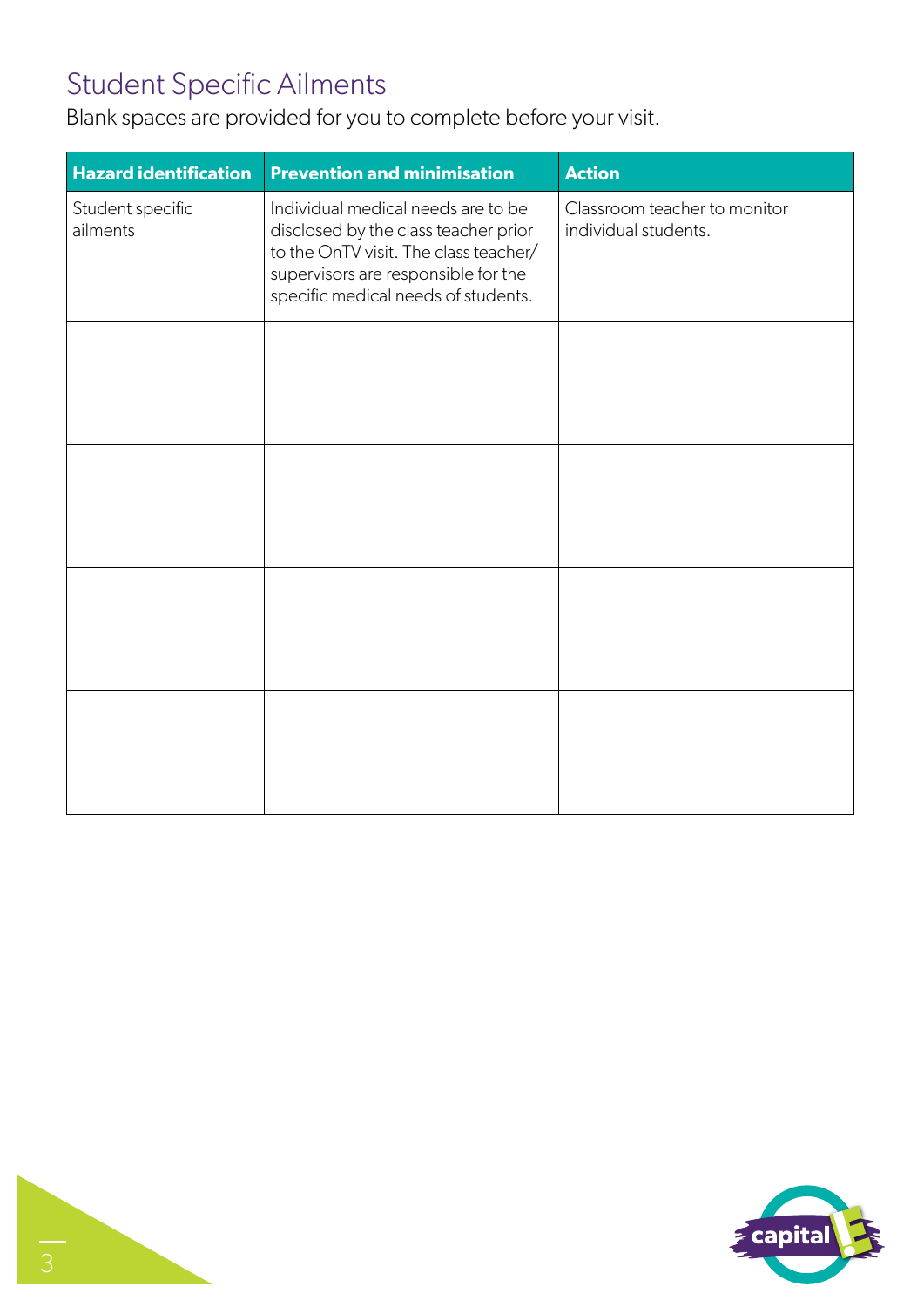#### Student Specific Ailments

Blank spaces are provided for you to complete before your visit.

| <b>Hazard identification</b> | <b>Prevention and minimisation</b>                                                                                                                                                                | <b>Action</b>                                        |
|------------------------------|---------------------------------------------------------------------------------------------------------------------------------------------------------------------------------------------------|------------------------------------------------------|
| Student specific<br>ailments | Individual medical needs are to be<br>disclosed by the class teacher prior<br>to the OnTV visit. The class teacher/<br>supervisors are responsible for the<br>specific medical needs of students. | Classroom teacher to monitor<br>individual students. |
|                              |                                                                                                                                                                                                   |                                                      |
|                              |                                                                                                                                                                                                   |                                                      |
|                              |                                                                                                                                                                                                   |                                                      |
|                              |                                                                                                                                                                                                   |                                                      |